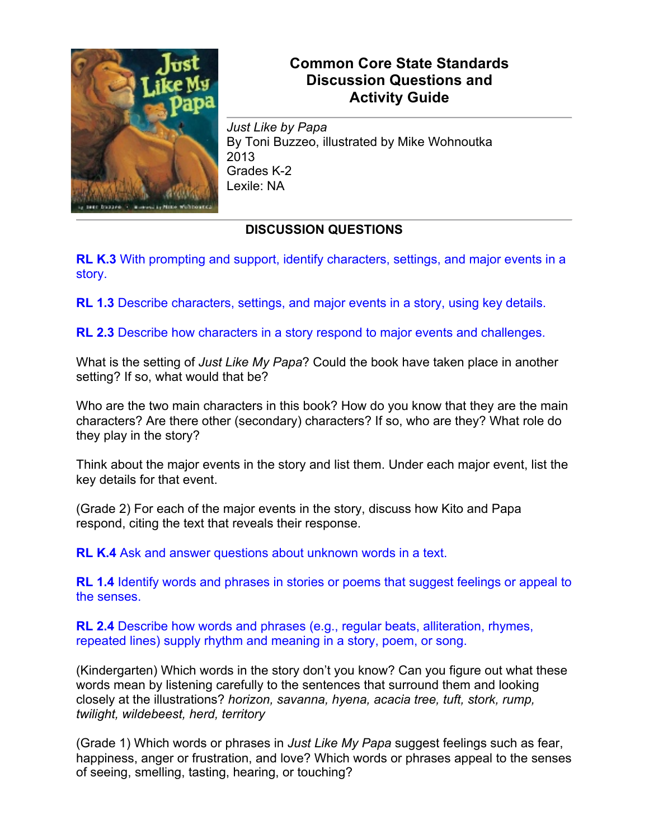

## **Common Core State Standards Discussion Questions and Activity Guide**

*Just Like by Papa* By Toni Buzzeo, illustrated by Mike Wohnoutka 2013 Grades K-2 Lexile: NA

## **DISCUSSION QUESTIONS**

**RL K.3** With prompting and support, identify characters, settings, and major events in a story.

**RL 1.3** Describe characters, settings, and major events in a story, using key details.

**RL 2.3** Describe how characters in a story respond to major events and challenges.

What is the setting of *Just Like My Papa*? Could the book have taken place in another setting? If so, what would that be?

Who are the two main characters in this book? How do you know that they are the main characters? Are there other (secondary) characters? If so, who are they? What role do they play in the story?

Think about the major events in the story and list them. Under each major event, list the key details for that event.

(Grade 2) For each of the major events in the story, discuss how Kito and Papa respond, citing the text that reveals their response.

**RL K.4** Ask and answer questions about unknown words in a text.

**RL 1.4** Identify words and phrases in stories or poems that suggest feelings or appeal to the senses.

**RL 2.4** Describe how words and phrases (e.g., regular beats, alliteration, rhymes, repeated lines) supply rhythm and meaning in a story, poem, or song.

(Kindergarten) Which words in the story don't you know? Can you figure out what these words mean by listening carefully to the sentences that surround them and looking closely at the illustrations? *horizon, savanna, hyena, acacia tree, tuft, stork, rump, twilight, wildebeest, herd, territory*

(Grade 1) Which words or phrases in *Just Like My Papa* suggest feelings such as fear, happiness, anger or frustration, and love? Which words or phrases appeal to the senses of seeing, smelling, tasting, hearing, or touching?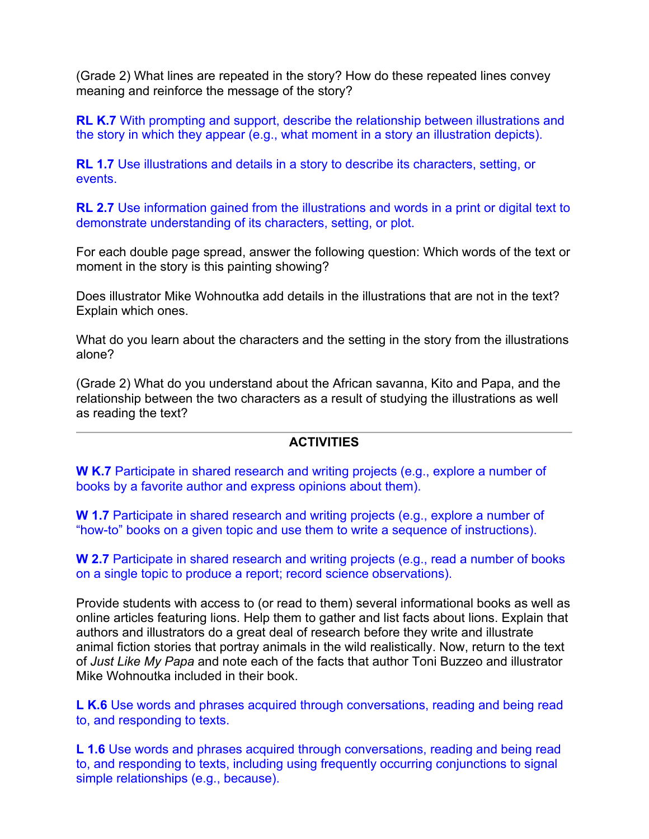(Grade 2) What lines are repeated in the story? How do these repeated lines convey meaning and reinforce the message of the story?

**RL K.7** With prompting and support, describe the relationship between illustrations and the story in which they appear (e.g., what moment in a story an illustration depicts).

**RL 1.7** Use illustrations and details in a story to describe its characters, setting, or events.

**RL 2.7** Use information gained from the illustrations and words in a print or digital text to demonstrate understanding of its characters, setting, or plot.

For each double page spread, answer the following question: Which words of the text or moment in the story is this painting showing?

Does illustrator Mike Wohnoutka add details in the illustrations that are not in the text? Explain which ones.

What do you learn about the characters and the setting in the story from the illustrations alone?

(Grade 2) What do you understand about the African savanna, Kito and Papa, and the relationship between the two characters as a result of studying the illustrations as well as reading the text?

## **ACTIVITIES**

**W K.7** Participate in shared research and writing projects (e.g., explore a number of books by a favorite author and express opinions about them).

**W 1.7** Participate in shared research and writing projects (e.g., explore a number of "how-to" books on a given topic and use them to write a sequence of instructions).

**W 2.7** Participate in shared research and writing projects (e.g., read a number of books on a single topic to produce a report; record science observations).

Provide students with access to (or read to them) several informational books as well as online articles featuring lions. Help them to gather and list facts about lions. Explain that authors and illustrators do a great deal of research before they write and illustrate animal fiction stories that portray animals in the wild realistically. Now, return to the text of *Just Like My Papa* and note each of the facts that author Toni Buzzeo and illustrator Mike Wohnoutka included in their book.

**L K.6** Use words and phrases acquired through conversations, reading and being read to, and responding to texts.

**L 1.6** Use words and phrases acquired through conversations, reading and being read to, and responding to texts, including using frequently occurring conjunctions to signal simple relationships (e.g., because).